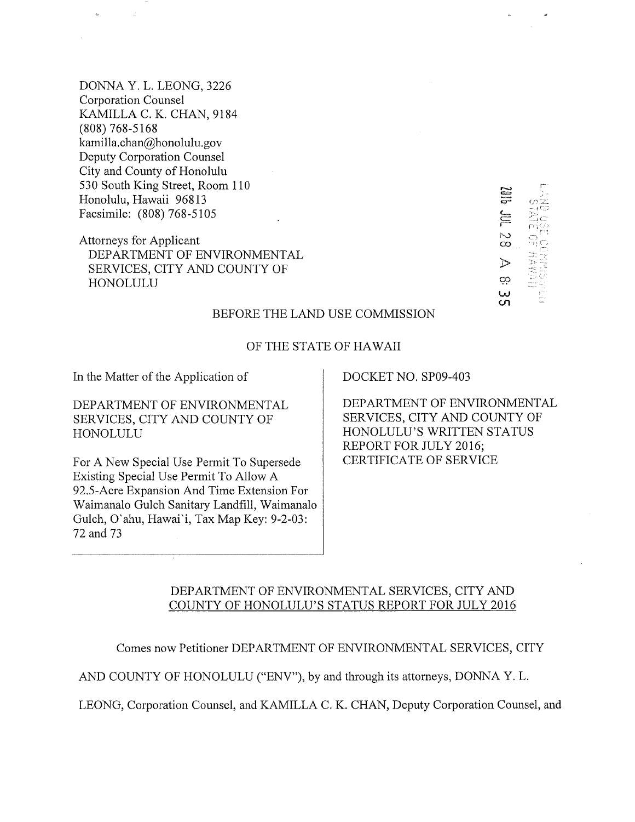DONNA Y. L. LEONG, 3226 Corporation Counsel KAMILLA C. K. CHAN, 9184 (808) 768-5168 kamilla.chan@honolulu.gov Deputy Corporation Counsel City and County of Honolulu 530 South King Street, Room 110 Honolulu, Hawaii 96813 Facsimile: (808) 768-5105

Attorneys for Applicant DEPARTMENT OF ENVIRONMENTAL SERVICES, CITY AND COUNTY OF HONOLULU

N rÿ -- 1:> C4  $\infty$ 2, -,  $\mathcal{D}$ Ģ9  $\overline{a}$ 

#### BEFORE THE LAND USE COMMISSION

#### OF THE STATE OF HAWAII

In the Matter of the Application of DOCKET NO. SP09-403

DEPARTMENT OF ENVIRONMENTAL SERVICES, CITY AND COUNTY OF HONOLULU

For A New Special Use Permit To Supersede Existing Special Use Permit To Allow A 92.5-Acre Expansion And Time Extension For Waimanalo Gulch Sanitary Landfill, Waimanalo Gulch, O'ahu, Hawai'i, Tax Map Key: 9-2-03: 72 and 73

DEPARTMENT OF ENVIRONMENTAL SERVICES, CITY AND COUNTY OF HONOLULU'S WRITTEN STATUS REPORT FOR JULY 2016; CERTIFICATE OF SERVICE

## DEPARTMENT OF ENVIRONMENTAL SERVICES, CITY AND COUNTY OF HONOLULU'S STATUS REPORT FOR JULY 2016

Comes now Petitioner DEPARTMENT OF ENVIRONMENTAL SERVICES, CITY

AND COUNTY OF HONOLULU ("ENV"), by and through its attorneys, DONNA Y. L.

LEONG, Corporation Counsel, and KAMILLA C. K. CHAN, Deputy Corporation Counsel, and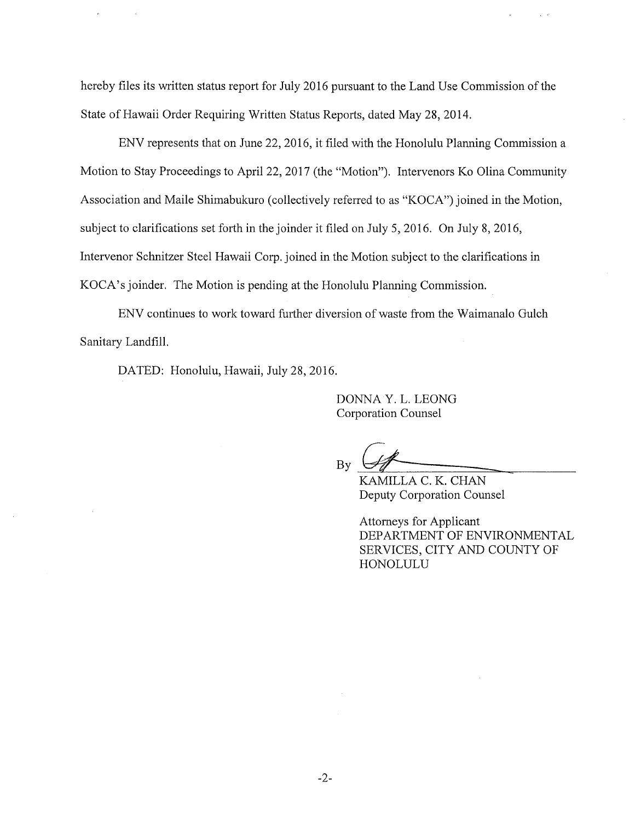hereby files its written status report for July 2016 pursuant to the Land Use Commission of the State of Hawaii Order Requiring Written Status Reports, dated May 28,2014.

ENV represents that on June 22, 2016, it filed with the Honolulu Planning Commission a Motion to Stay Proceedings to April 22, 2017 (the "Motion"). Intervenors Ko Olina Community Association and Maile Shimabukuro (collectively referred to as "KOCA") joined in the Motion, subject to clarifications set forth in the joinder it filed on July 5, 2016. On July 8, 2016, Intervenor Schnitzer Steel Hawaii Corp. joined in the Motion subject to the clarifications in KOCA's joinder. The Motion is pending at the Honolulu Planning Commission.

ENV continues to work toward further diversion of waste from the Waimanalo Gulch Sanitary Landfill.

DATED: Honolulu, Hawaii, July 28, 2016.

DONNA Y. L. LEONG Corporation Counsel

By

KAMILLA C. K. CHAN Deputy Corporation Counsel

Attorneys for Applicant DEPARTMENT OF ENVIRONMENTAL SERVICES, CITY AND COUNTY OF HONOLULU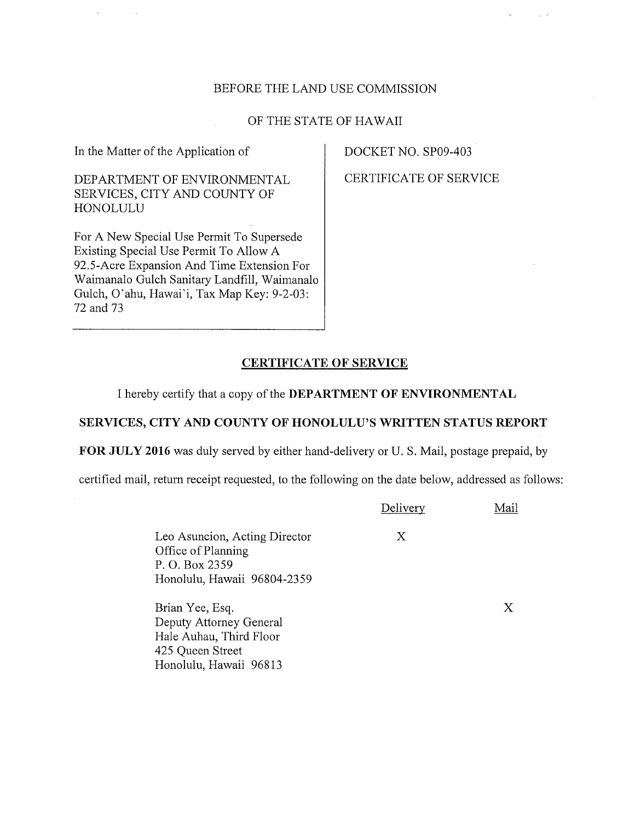### BEFORE THE LAND USE COMMISSION

### OF THE STATE OF HAWAII

In the Matter of the Application of

DEPARTMENT OF ENVIRONMENTAL SERVICES, CITY AND COUNTY OF HONOLULU

For A New Special Use Permit To Supersede Existing Special Use Permit To Allow A 92.5-Acre Expansion And Time Extension For Waimanalo Gulch Sanitary Landfill, Waimanalo Gulch, O'ahu, Hawai'i, Tax Map Key: 9-2-03: 72 and 73

Honolulu, Hawaii 96813

DOCKET NO. SP09-403

CERTIFICATE OF SERVICE

 $\tau \in \mathcal{P}$ 

# CERTIFICATE OF SERVICE

I hereby certify that a copy of the DEPARTMENT OF ENVIRONMENTAL

### SERVICES, CITY AND COUNTY OF HONOLULU'S WRITTEN STATUS REPORT

FOR JULY 2016 was duly served by either hand-delivery or U. S. Mail, postage prepaid, by

certified mail, return receipt requested, to the following on the date below, addressed as follows:

|                                                                                                      | Delivery | Mail |
|------------------------------------------------------------------------------------------------------|----------|------|
| Leo Asuncion, Acting Director<br>Office of Planning<br>P. O. Box 2359<br>Honolulu, Hawaii 96804-2359 | X        |      |
| Brian Yee, Esq.<br>Deputy Attorney General<br>Hale Auhau, Third Floor<br>425 Queen Street            |          | Χ    |